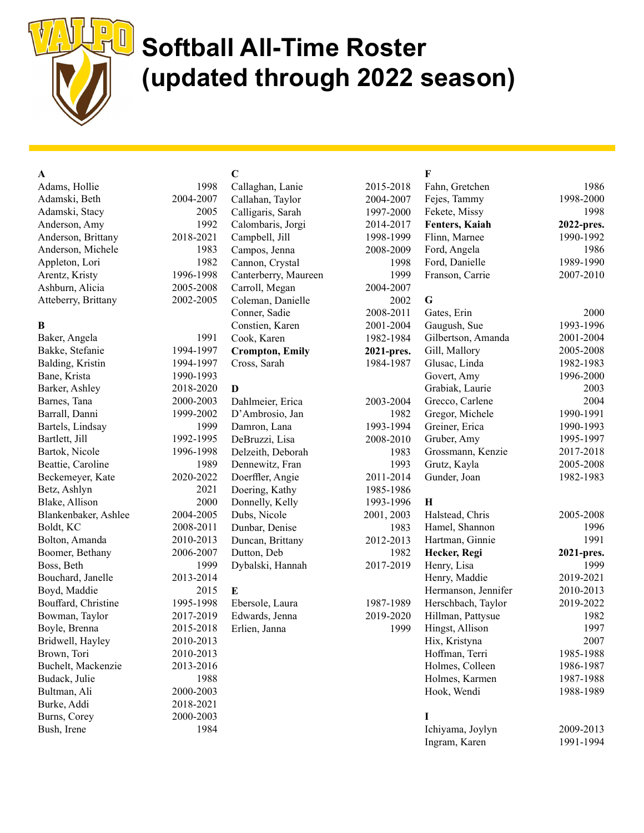

# Softball All-Time Roster (updated through 2022 season)

| A                    |           | $\mathbf C$            |            | F                   |            |
|----------------------|-----------|------------------------|------------|---------------------|------------|
| Adams, Hollie        | 1998      | Callaghan, Lanie       | 2015-2018  | Fahn, Gretchen      | 1986       |
| Adamski, Beth        | 2004-2007 | Callahan, Taylor       | 2004-2007  | Fejes, Tammy        | 1998-2000  |
| Adamski, Stacy       | 2005      | Calligaris, Sarah      | 1997-2000  | Fekete, Missy       | 1998       |
| Anderson, Amy        | 1992      | Calombaris, Jorgi      | 2014-2017  | Fenters, Kaiah      | 2022-pres. |
| Anderson, Brittany   | 2018-2021 | Campbell, Jill         | 1998-1999  | Flinn, Marnee       | 1990-1992  |
| Anderson, Michele    | 1983      | Campos, Jenna          | 2008-2009  | Ford, Angela        | 1986       |
| Appleton, Lori       | 1982      | Cannon, Crystal        | 1998       | Ford, Danielle      | 1989-1990  |
| Arentz, Kristy       | 1996-1998 | Canterberry, Maureen   | 1999       | Franson, Carrie     | 2007-2010  |
| Ashburn, Alicia      | 2005-2008 | Carroll, Megan         | 2004-2007  |                     |            |
| Atteberry, Brittany  | 2002-2005 | Coleman, Danielle      | 2002       | G                   |            |
|                      |           | Conner, Sadie          | 2008-2011  | Gates, Erin         | 2000       |
| B                    |           | Constien, Karen        | 2001-2004  | Gaugush, Sue        | 1993-1996  |
| Baker, Angela        | 1991      | Cook, Karen            | 1982-1984  | Gilbertson, Amanda  | 2001-2004  |
| Bakke, Stefanie      | 1994-1997 | <b>Crompton, Emily</b> | 2021-pres. | Gill, Mallory       | 2005-2008  |
| Balding, Kristin     | 1994-1997 | Cross, Sarah           | 1984-1987  | Glusac, Linda       | 1982-1983  |
| Bane, Krista         | 1990-1993 |                        |            | Govert, Amy         | 1996-2000  |
| Barker, Ashley       | 2018-2020 | D                      |            | Grabiak, Laurie     | 2003       |
| Barnes, Tana         | 2000-2003 | Dahlmeier, Erica       | 2003-2004  | Grecco, Carlene     | 2004       |
| Barrall, Danni       | 1999-2002 | D'Ambrosio, Jan        | 1982       | Gregor, Michele     | 1990-1991  |
| Bartels, Lindsay     | 1999      | Damron, Lana           | 1993-1994  | Greiner, Erica      | 1990-1993  |
| Bartlett, Jill       | 1992-1995 | DeBruzzi, Lisa         | 2008-2010  | Gruber, Amy         | 1995-1997  |
| Bartok, Nicole       | 1996-1998 | Delzeith, Deborah      | 1983       | Grossmann, Kenzie   | 2017-2018  |
| Beattie, Caroline    | 1989      | Dennewitz, Fran        | 1993       | Grutz, Kayla        | 2005-2008  |
|                      | 2020-2022 |                        | 2011-2014  | Gunder, Joan        | 1982-1983  |
| Beckemeyer, Kate     | 2021      | Doerffler, Angie       |            |                     |            |
| Betz, Ashlyn         | 2000      | Doering, Kathy         | 1985-1986  | H                   |            |
| Blake, Allison       |           | Donnelly, Kelly        | 1993-1996  |                     |            |
| Blankenbaker, Ashlee | 2004-2005 | Dubs, Nicole           | 2001, 2003 | Halstead, Chris     | 2005-2008  |
| Boldt, KC            | 2008-2011 | Dunbar, Denise         | 1983       | Hamel, Shannon      | 1996       |
| Bolton, Amanda       | 2010-2013 | Duncan, Brittany       | 2012-2013  | Hartman, Ginnie     | 1991       |
| Boomer, Bethany      | 2006-2007 | Dutton, Deb            | 1982       | Hecker, Regi        | 2021-pres. |
| Boss, Beth           | 1999      | Dybalski, Hannah       | 2017-2019  | Henry, Lisa         | 1999       |
| Bouchard, Janelle    | 2013-2014 |                        |            | Henry, Maddie       | 2019-2021  |
| Boyd, Maddie         | 2015      | E                      |            | Hermanson, Jennifer | 2010-2013  |
| Bouffard, Christine  | 1995-1998 | Ebersole, Laura        | 1987-1989  | Herschbach, Taylor  | 2019-2022  |
| Bowman, Taylor       | 2017-2019 | Edwards, Jenna         | 2019-2020  | Hillman, Pattysue   | 1982       |
| Boyle, Brenna        | 2015-2018 | Erlien, Janna          | 1999       | Hingst, Allison     | 1997       |
| Bridwell, Hayley     | 2010-2013 |                        |            | Hix, Kristyna       | 2007       |
| Brown, Tori          | 2010-2013 |                        |            | Hoffman, Terri      | 1985-1988  |
| Buchelt, Mackenzie   | 2013-2016 |                        |            | Holmes, Colleen     | 1986-1987  |
| Budack, Julie        | 1988      |                        |            | Holmes, Karmen      | 1987-1988  |
| Bultman, Ali         | 2000-2003 |                        |            | Hook, Wendi         | 1988-1989  |
| Burke, Addi          | 2018-2021 |                        |            |                     |            |
| Burns, Corey         | 2000-2003 |                        |            | 1                   |            |
| Bush, Irene          | 1984      |                        |            | Ichiyama, Joylyn    | 2009-2013  |
|                      |           |                        |            | Ingram, Karen       | 1991-1994  |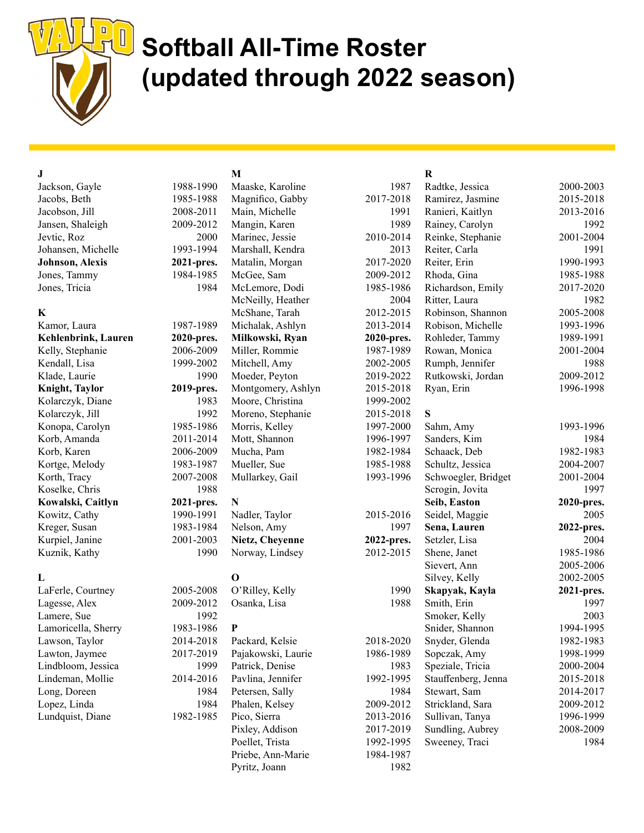

## Softball All-Time Roster (updated through 2022 season)

### J

Jackson, Gayle 1988-19 Jacobs, Beth 1985-19 Jacobson, Jill 2008-20 Jansen, Shaleigh 2009-20 Jevtic, Roz 20 Johansen, Michelle 1993-19 Johnson, Alexis 2021-pr Jones, Tammy  $1984-19$ Jones, Tricia 19

#### K

Kamor, Laura 1987-19 Kehlenbrink, Lauren 2020-pr Kelly, Stephanie 2006-20 Kendall, Lisa 1999-20 Klade, Laurie 19 Knight, Taylor 2019-pr Kolarczyk, Diane 19 Kolarczyk, Jill 19 Konopa, Carolyn 1985-19 Korb, Amanda 2011-20 Korb, Karen 2006-20 Kortge, Melody 1983-19 Korth, Tracy 2007-20 Koselke, Chris 19 Kowalski, Caitlyn 2021-pr Kowitz, Cathy 1990-19 Kreger, Susan 1983-19 Kurpiel, Janine 2001-20 Kuznik, Kathy 19

#### L

LaFerle, Courtney 2005-20 Lagesse, Alex  $2009-20$ Lamere, Sue 19 Lamoricella, Sherry 1983-19 Lawson, Taylor 2014-2018 Lawton, Jaymee 2017-2019 Lindbloom, Jessica 1999 Lindeman, Mollie 2014-2016 Long, Doreen 1984 Lopez, Linda 1984 Lundquist, Diane 1982-1985

### M

| 90   | Maaske, Karoline   | 1987       |
|------|--------------------|------------|
| 188  | Magnifico, Gabby   | 2017-2018  |
| 11   | Main, Michelle     | 1991       |
| 12   | Mangin, Karen      | 1989       |
| 00   | Marinec, Jessie    | 2010-2014  |
| 194  | Marshall, Kendra   | 2013       |
| es.  | Matalin, Morgan    | 2017-2020  |
| 185  | McGee, Sam         | 2009-2012  |
| 84   | McLemore, Dodi     | 1985-1986  |
|      | McNeilly, Heather  | 2004       |
|      | McShane, Tarah     | 2012-2015  |
| 189  | Michalak, Ashlyn   | 2013-2014  |
| es.  | Milkowski, Ryan    | 2020-pres. |
| 09   | Miller, Rommie     | 1987-1989  |
| 02   | Mitchell, Amy      | 2002-2005  |
| 90   | Moeder, Peyton     | 2019-2022  |
| es.  | Montgomery, Ashlyn | 2015-2018  |
| 83   | Moore, Christina   | 1999-2002  |
| 192  | Moreno, Stephanie  | 2015-2018  |
| 186  | Morris, Kelley     | 1997-2000  |
| 14   | Mott, Shannon      | 1996-1997  |
| 109  | Mucha, Pam         | 1982-1984  |
| 187  | Mueller, Sue       | 1985-1988  |
| 108  | Mullarkey, Gail    | 1993-1996  |
| 88   |                    |            |
| es.  | N                  |            |
| 91   | Nadler, Taylor     | 2015-2016  |
| 84   | Nelson, Amy        | 1997       |
| 03   | Nietz, Cheyenne    | 2022-pres. |
| 90   | Norway, Lindsey    | 2012-2015  |
|      | O                  |            |
| 108  | O'Rilley, Kelly    | 1990       |
| 12   | Osanka, Lisa       | 1988       |
| 92   |                    |            |
| 86   | P                  |            |
| 11 Q | Doctord Volcio     | 2018.2020. |

| S |                    |           |
|---|--------------------|-----------|
| ξ | Packard, Kelsie    | 2018-2020 |
| € | Pajakowski, Laurie | 1986-1989 |
| € | Patrick, Denise    | 1983      |
| 5 | Pavlina, Jennifer  | 1992-1995 |
| 4 | Petersen, Sally    | 1984      |
| 4 | Phalen, Kelsey     | 2009-2012 |
| 5 | Pico, Sierra       | 2013-2016 |
|   | Pixley, Addison    | 2017-2019 |
|   | Poellet, Trista    | 1992-1995 |
|   | Priebe, Ann-Marie  | 1984-1987 |
|   | Pyritz, Joann      | 1982.     |

#### R

| 1987      | Radtke, Jessica     | 2000-2003  |
|-----------|---------------------|------------|
| 017-2018  | Ramirez, Jasmine    | 2015-2018  |
| 1991      | Ranieri, Kaitlyn    | 2013-2016  |
| 1989      | Rainey, Carolyn     | 1992       |
| 010-2014  | Reinke, Stephanie   | 2001-2004  |
| 2013      | Reiter, Carla       | 1991       |
| 017-2020  | Reiter, Erin        | 1990-1993  |
| 009-2012  | Rhoda, Gina         | 1985-1988  |
| 985-1986  | Richardson, Emily   | 2017-2020  |
| 2004      | Ritter, Laura       | 1982       |
| 012-2015  | Robinson, Shannon   | 2005-2008  |
| 013-2014  | Robison, Michelle   | 1993-1996  |
| 020-pres. | Rohleder, Tammy     | 1989-1991  |
| 987-1989  | Rowan, Monica       | 2001-2004  |
| 002-2005  | Rumph, Jennifer     | 1988       |
| 019-2022  | Rutkowski, Jordan   | 2009-2012  |
| 015-2018  | Ryan, Erin          | 1996-1998  |
| 999-2002  |                     |            |
| 015-2018  | S                   |            |
| 997-2000  | Sahm, Amy           | 1993-1996  |
| 996-1997  | Sanders, Kim        | 1984       |
| 982-1984  | Schaack, Deb        | 1982-1983  |
| 985-1988  | Schultz, Jessica    | 2004-2007  |
| 993-1996  | Schwoegler, Bridget | 2001-2004  |
|           | Scrogin, Jovita     | 1997       |
|           | Seib, Easton        | 2020-pres. |
| 015-2016  | Seidel, Maggie      | 2005       |
| 1997      | Sena, Lauren        | 2022-pres. |
| )22-pres. | Setzler, Lisa       | 2004       |
| 012-2015  | Shene, Janet        | 1985-1986  |
|           | Sievert, Ann        | 2005-2006  |
|           | Silvey, Kelly       | 2002-2005  |
| 1990      | Skapyak, Kayla      | 2021-pres. |
| 1988      | Smith, Erin         | 1997       |
|           | Smoker, Kelly       | 2003       |
|           | Snider, Shannon     | 1994-1995  |
| 018-2020  | Snyder, Glenda      | 1982-1983  |
| 986-1989  | Sopczak, Amy        | 1998-1999  |
| 1983      | Speziale, Tricia    | 2000-2004  |
| 992-1995  | Stauffenberg, Jenna | 2015-2018  |
| 1984      | Stewart, Sam        | 2014-2017  |
| 009-2012  | Strickland, Sara    | 2009-2012  |
| 013-2016  | Sullivan, Tanya     | 1996-1999  |
| 017-2019  | Sundling, Aubrey    | 2008-2009  |
| 992-1995  | Sweeney, Traci      | 1984       |
| 984-1987  |                     |            |
| 1982      |                     |            |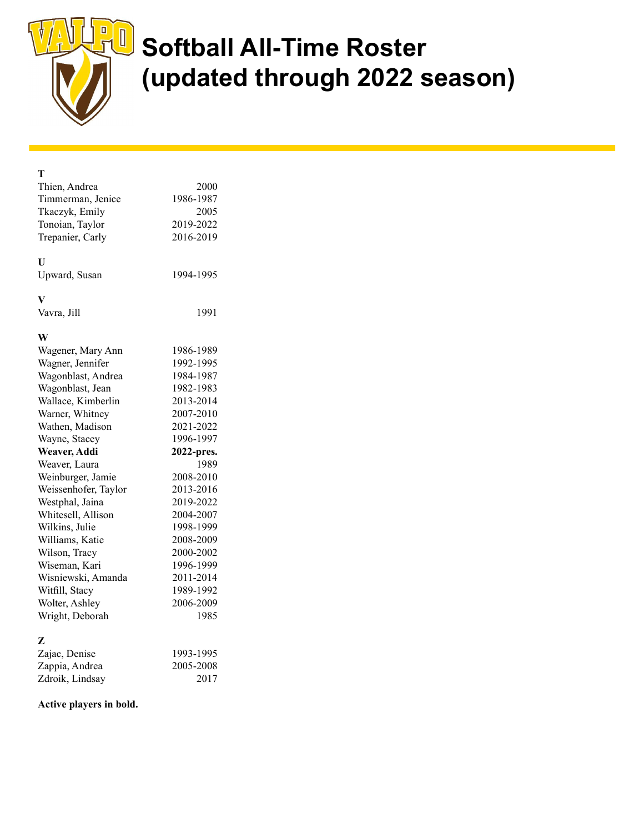

# **J** Softball All-Time Roster (updated through 2022 season)

| т                    |            |
|----------------------|------------|
| Thien, Andrea        | 2000       |
| Timmerman, Jenice    | 1986-1987  |
| Tkaczyk, Emily       | 2005       |
| Tonoian, Taylor      | 2019-2022  |
| Trepanier, Carly     | 2016-2019  |
| U                    |            |
| Upward, Susan        | 1994-1995  |
| V                    |            |
| Vavra, Jill          | 1991       |
| W                    |            |
| Wagener, Mary Ann    | 1986-1989  |
| Wagner, Jennifer     | 1992-1995  |
| Wagonblast, Andrea   | 1984-1987  |
| Wagonblast, Jean     | 1982-1983  |
| Wallace, Kimberlin   | 2013-2014  |
| Warner, Whitney      | 2007-2010  |
| Wathen, Madison      | 2021-2022  |
| Wayne, Stacey        | 1996-1997  |
| Weaver, Addi         | 2022-pres. |
| Weaver, Laura        | 1989       |
| Weinburger, Jamie    | 2008-2010  |
| Weissenhofer, Taylor | 2013-2016  |
| Westphal, Jaina      | 2019-2022  |
| Whitesell, Allison   | 2004-2007  |
| Wilkins, Julie       | 1998-1999  |
| Williams, Katie      | 2008-2009  |
| Wilson, Tracy        | 2000-2002  |
| Wiseman, Kari        | 1996-1999  |
| Wisniewski, Amanda   | 2011-2014  |
| Witfill, Stacy       | 1989-1992  |
| Wolter, Ashley       | 2006-2009  |
| Wright, Deborah      | 1985       |
| z                    |            |
| Zajac, Denise        | 1993-1995  |
| Zappia, Andrea       | 2005-2008  |
| Zdroik, Lindsay      | 2017       |

#### Active players in bold.